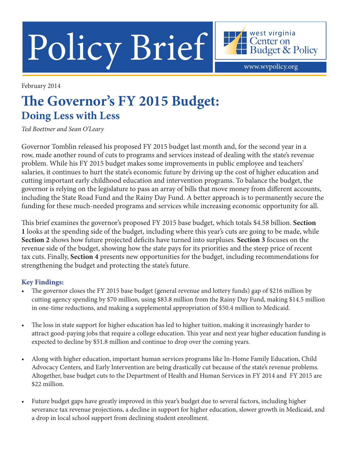Policy Brief Hendget & Policy

February 2014

# **The Governor's FY 2015 Budget: Doing Less with Less**

*Ted Boettner and Sean O'Leary*

Governor Tomblin released his proposed FY 2015 budget last month and, for the second year in a row, made another round of cuts to programs and services instead of dealing with the state's revenue problem. While his FY 2015 budget makes some improvements in public employee and teachers' salaries, it continues to hurt the state's economic future by driving up the cost of higher education and cutting important early childhood education and intervention programs. To balance the budget, the governor is relying on the legislature to pass an array of bills that move money from different accounts, including the State Road Fund and the Rainy Day Fund. A better approach is to permanently secure the funding for these much-needed programs and services while increasing economic opportunity for all.

This brief examines the governor's proposed FY 2015 base budget, which totals \$4.58 billion. **Section 1** looks at the spending side of the budget, including where this year's cuts are going to be made, while **Section 2** shows how future projected deficits have turned into surpluses. **Section 3** focuses on the revenue side of the budget, showing how the state pays for its priorities and the steep price of recent tax cuts. Finally, **Section 4** presents new opportunities for the budget, including recommendations for strengthening the budget and protecting the state's future.

# **Key Findings:**

- The governor closes the FY 2015 base budget (general revenue and lottery funds) gap of \$216 million by cutting agency spending by \$70 million, using \$83.8 million from the Rainy Day Fund, making \$14.5 million in one-time reductions, and making a supplemental appropriation of \$50.4 million to Medicaid.
- The loss in state support for higher education has led to higher tuition, making it increasingly harder to attract good-paying jobs that require a college education. This year and next year higher education funding is expected to decline by \$51.8 million and continue to drop over the coming years.
- • Along with higher education, important human services programs like In-Home Family Education, Child Advocacy Centers, and Early Intervention are being drastically cut because of the state's revenue problems. Altogether, base budget cuts to the Department of Health and Human Services in FY 2014 and FY 2015 are \$22 million.
- Future budget gaps have greatly improved in this year's budget due to several factors, including higher severance tax revenue projections, a decline in support for higher education, slower growth in Medicaid, and a drop in local school support from declining student enrollment.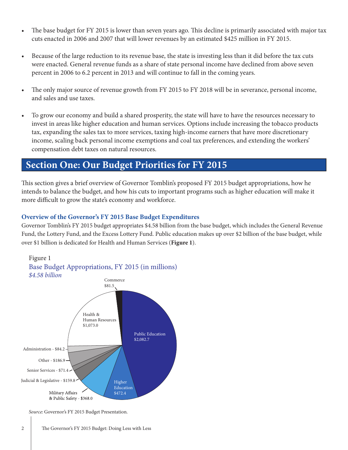- The base budget for FY 2015 is lower than seven years ago. This decline is primarily associated with major tax cuts enacted in 2006 and 2007 that will lower revenues by an estimated \$425 million in FY 2015.
- Because of the large reduction to its revenue base, the state is investing less than it did before the tax cuts were enacted. General revenue funds as a share of state personal income have declined from above seven percent in 2006 to 6.2 percent in 2013 and will continue to fall in the coming years.
- The only major source of revenue growth from FY 2015 to FY 2018 will be in severance, personal income, and sales and use taxes.
- To grow our economy and build a shared prosperity, the state will have to have the resources necessary to invest in areas like higher education and human services. Options include increasing the tobacco products tax, expanding the sales tax to more services, taxing high-income earners that have more discretionary income, scaling back personal income exemptions and coal tax preferences, and extending the workers' compensation debt taxes on natural resources.

# **Section One: Our Budget Priorities for FY 2015**

This section gives a brief overview of Governor Tomblin's proposed FY 2015 budget appropriations, how he intends to balance the budget, and how his cuts to important programs such as higher education will make it more difficult to grow the state's economy and workforce.

### **Overview of the Governor's FY 2015 Base Budget Expenditures**

Governor Tomblin's FY 2015 budget appropriates \$4.58 billion from the base budget, which includes the General Revenue Fund, the Lottery Fund, and the Excess Lottery Fund. Public education makes up over \$2 billion of the base budget, while over \$1 billion is dedicated for Health and Human Services (**Figure 1**).



*Source*: Governor's FY 2015 Budget Presentation.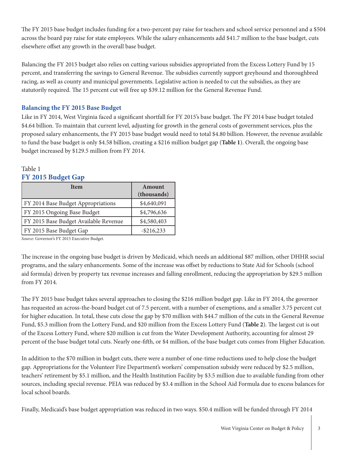The FY 2015 base budget includes funding for a two-percent pay raise for teachers and school service personnel and a \$504 across the board pay raise for state employees. While the salary enhancements add \$41.7 million to the base budget, cuts elsewhere offset any growth in the overall base budget.

Balancing the FY 2015 budget also relies on cutting various subsidies appropriated from the Excess Lottery Fund by 15 percent, and transferring the savings to General Revenue. The subsidies currently support greyhound and thoroughbred racing, as well as county and municipal governments. Legislative action is needed to cut the subsidies, as they are statutorily required. The 15 percent cut will free up \$39.12 million for the General Revenue Fund.

### **Balancing the FY 2015 Base Budget**

Like in FY 2014, West Virginia faced a significant shortfall for FY 2015's base budget. The FY 2014 base budget totaled \$4.64 billion. To maintain that current level, adjusting for growth in the general costs of government services, plus the proposed salary enhancements, the FY 2015 base budget would need to total \$4.80 billion. However, the revenue available to fund the base budget is only \$4.58 billion, creating a \$216 million budget gap (**Table 1**). Overall, the ongoing base budget increased by \$129.5 million from FY 2014.

#### Table 1 **FY 2015 Budget Gap**

| <b>I</b> tem                          | Amount<br>(thousands) |
|---------------------------------------|-----------------------|
| FY 2014 Base Budget Appropriations    | \$4,640,091           |
| FY 2015 Ongoing Base Budget           | \$4,796,636           |
| FY 2015 Base Budget Available Revenue | \$4,580,403           |
| FY 2015 Base Budget Gap               | $-$ \$216,233         |

*Source*: Governor's FY 2015 Executive Budget.

The increase in the ongoing base budget is driven by Medicaid, which needs an additional \$87 million, other DHHR social programs, and the salary enhancements. Some of the increase was offset by reductions to State Aid for Schools (school aid formula) driven by property tax revenue increases and falling enrollment, reducing the appropriation by \$29.5 million from FY 2014.

The FY 2015 base budget takes several approaches to closing the \$216 million budget gap. Like in FY 2014, the governor has requested an across-the-board budget cut of 7.5 percent, with a number of exemptions, and a smaller 3.75 percent cut for higher education. In total, these cuts close the gap by \$70 million with \$44.7 million of the cuts in the General Revenue Fund, \$5.3 million from the Lottery Fund, and \$20 million from the Excess Lottery Fund (**Table 2**). The largest cut is out of the Excess Lottery Fund, where \$20 million is cut from the Water Development Authority, accounting for almost 29 percent of the base budget total cuts. Nearly one-fifth, or \$4 million, of the base budget cuts comes from Higher Education.

In addition to the \$70 million in budget cuts, there were a number of one-time reductions used to help close the budget gap. Appropriations for the Volunteer Fire Department's workers' compensation subsidy were reduced by \$2.5 million, teachers' retirement by \$5.1 million, and the Health Institution Facility by \$3.5 million due to available funding from other sources, including special revenue. PEIA was reduced by \$3.4 million in the School Aid Formula due to excess balances for local school boards.

Finally, Medicaid's base budget appropriation was reduced in two ways. \$50.4 million will be funded through FY 2014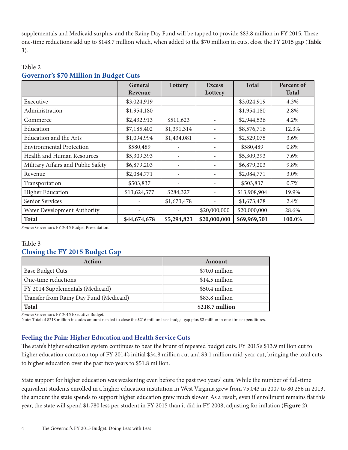supplementals and Medicaid surplus, and the Rainy Day Fund will be tapped to provide \$83.8 million in FY 2015. These one-time reductions add up to \$148.7 million which, when added to the \$70 million in cuts, close the FY 2015 gap (**Table 3**).

|                                    | General<br>Revenue | Lottery     | <b>Excess</b><br>Lottery | <b>Total</b> | Percent of<br><b>Total</b> |
|------------------------------------|--------------------|-------------|--------------------------|--------------|----------------------------|
| Executive                          | \$3,024,919        |             |                          | \$3,024,919  | 4.3%                       |
| Administration                     | \$1,954,180        |             |                          | \$1,954,180  | 2.8%                       |
| Commerce                           | \$2,432,913        | \$511,623   |                          | \$2,944,536  | 4.2%                       |
| Education                          | \$7,185,402        | \$1,391,314 |                          | \$8,576,716  | 12.3%                      |
| <b>Education and the Arts</b>      | \$1,094,994        | \$1,434,081 |                          | \$2,529,075  | 3.6%                       |
| <b>Environmental Protection</b>    | \$580,489          |             |                          | \$580,489    | 0.8%                       |
| Health and Human Resources         | \$5,309,393        |             |                          | \$5,309,393  | 7.6%                       |
| Military Affairs and Public Safety | \$6,879,203        |             |                          | \$6,879,203  | 9.8%                       |
| Revenue                            | \$2,084,771        |             |                          | \$2,084,771  | 3.0%                       |
| Transportation                     | \$503,837          |             |                          | \$503,837    | 0.7%                       |
| <b>Higher Education</b>            | \$13,624,577       | \$284,327   |                          | \$13,908,904 | 19.9%                      |
| Senior Services                    |                    | \$1,673,478 |                          | \$1,673,478  | 2.4%                       |
| Water Development Authority        |                    |             | \$20,000,000             | \$20,000,000 | 28.6%                      |
| <b>Total</b>                       | \$44,674,678       | \$5,294,823 | \$20,000,000             | \$69,969,501 | 100.0%                     |

### Table 2 **Governor's \$70 Million in Budget Cuts**

*Source*: Governor's FY 2015 Budget Presentation.

### Table 3 **Closing the FY 2015 Budget Gap**

| <b>Action</b>                           | Amount          |  |  |
|-----------------------------------------|-----------------|--|--|
| <b>Base Budget Cuts</b>                 | \$70.0 million  |  |  |
| One-time reductions                     | \$14.5 million  |  |  |
| FY 2014 Supplementals (Medicaid)        | \$50.4 million  |  |  |
| Transfer from Rainy Day Fund (Medicaid) | \$83.8 million  |  |  |
| <b>Total</b>                            | \$218.7 million |  |  |

*Source*: Governor's FY 2015 Executive Budget.

Note: Total of \$218 million includes amount needed to close the \$216 million base budget gap plus \$2 million in one-time expenditures.

### **Feeling the Pain: Higher Education and Health Service Cuts**

The state's higher education system continues to bear the brunt of repeated budget cuts. FY 2015's \$13.9 million cut to higher education comes on top of FY 2014's initial \$34.8 million cut and \$3.1 million mid-year cut, bringing the total cuts to higher education over the past two years to \$51.8 million.

State support for higher education was weakening even before the past two years' cuts. While the number of full-time equivalent students enrolled in a higher education institution in West Virginia grew from 75,043 in 2007 to 80,256 in 2013, the amount the state spends to support higher education grew much slower. As a result, even if enrollment remains flat this year, the state will spend \$1,780 less per student in FY 2015 than it did in FY 2008, adjusting for inflation (**Figure 2**).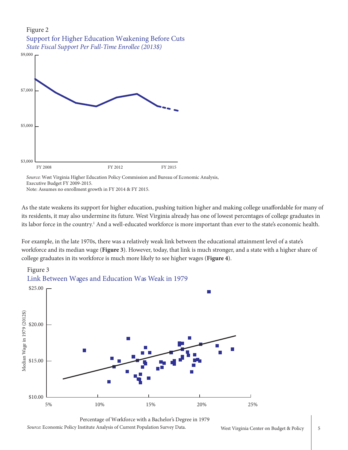

Source: West Virginia Higher Education Policy Commission and Bureau of Economic Analysis, Executive Budget FY 2009-2015.

Note: Assumes no enrollment growth in FY 2014 & FY 2015.

As the state weakens its support for higher education, pushing tuition higher and making college unaffordable for many of its residents, it may also undermine its future. West Virginia already has one of lowest percentages of college graduates in its labor force in the country.<sup>1</sup> And a well-educated workforce is more important than ever to the state's economic health.

For example, in the late 1970s, there was a relatively weak link between the educational attainment level of a state's workforce and its median wage (**Figure 3**). However, today, that link is much stronger, and a state with a higher share of college graduates in its workforce is much more likely to see higher wages (**Figure 4**).



Source: Economic Policy Institute Analysis of Current Population Survey Data. Percentage of Workforce with a Bachelor's Degree in 1979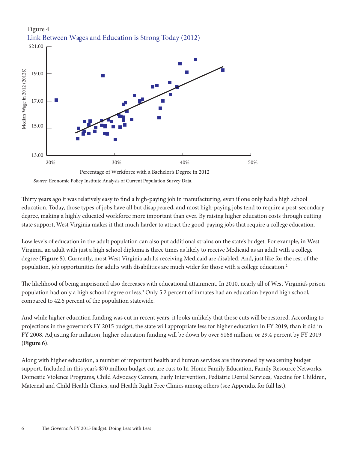

Thirty years ago it was relatively easy to find a high-paying job in manufacturing, even if one only had a high school education. Today, those types of jobs have all but disappeared, and most high-paying jobs tend to require a post-secondary degree, making a highly educated workforce more important than ever. By raising higher education costs through cutting state support, West Virginia makes it that much harder to attract the good-paying jobs that require a college education.

Low levels of education in the adult population can also put additional strains on the state's budget. For example, in West Virginia, an adult with just a high school diploma is three times as likely to receive Medicaid as an adult with a college degree (**Figure 5**). Currently, most West Virginia adults receiving Medicaid are disabled. And, just like for the rest of the population, job opportunities for adults with disabilities are much wider for those with a college education.<sup>2</sup>

The likelihood of being imprisoned also decreases with educational attainment. In 2010, nearly all of West Virginia's prison population had only a high school degree or less.<sup>3</sup> Only 5.2 percent of inmates had an education beyond high school, compared to 42.6 percent of the population statewide.

And while higher education funding was cut in recent years, it looks unlikely that those cuts will be restored. According to projections in the governor's FY 2015 budget, the state will appropriate less for higher education in FY 2019, than it did in FY 2008. Adjusting for inflation, higher education funding will be down by over \$168 million, or 29.4 percent by FY 2019 (**Figure 6**).

Along with higher education, a number of important health and human services are threatened by weakening budget support. Included in this year's \$70 million budget cut are cuts to In-Home Family Education, Family Resource Networks, Domestic Violence Programs, Child Advocacy Centers, Early Intervention, Pediatric Dental Services, Vaccine for Children, Maternal and Child Health Clinics, and Health Right Free Clinics among others (see Appendix for full list).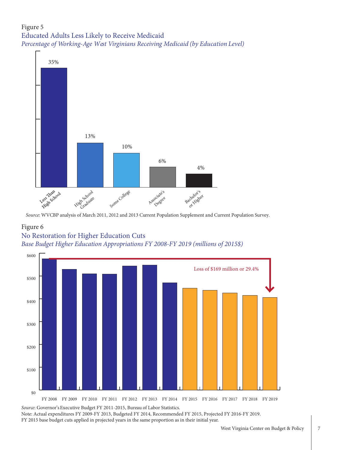# Figure 5 Educated Adults Less Likely to Receive Medicaid *Percentage of Working-Age West Virginians Receiving Medicaid (by Education Level)*



*Source*: WVCBP analysis of March 2011, 2012 and 2013 Current Population Supplement and Current Population Survey.

### Figure 6

# No Restoration for Higher Education Cuts *Base Budget Higher Education Appropriations FY 2008-FY 2019 (millions of 2015\$)*



Source: Governor's Executive Budget FY 2011-2015, Bureau of Labor Statistics.

Note: Actual expenditures FY 2009-FY 2013, Budgeted FY 2014, Recommended FY 2015, Projected FY 2016-FY 2019. FY 2015 base budget cuts applied in projected years in the same proportion as in their initial year.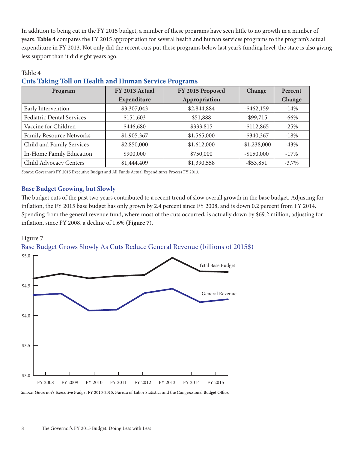In addition to being cut in the FY 2015 budget, a number of these programs have seen little to no growth in a number of years. **Table 4** compares the FY 2015 appropriation for several health and human services programs to the program's actual expenditure in FY 2013. Not only did the recent cuts put these programs below last year's funding level, the state is also giving less support than it did eight years ago.

| Program                         | FY 2013 Actual | FY 2015 Proposed | Change        | Percent  |
|---------------------------------|----------------|------------------|---------------|----------|
|                                 | Expenditure    | Appropriation    |               | Change   |
| Early Intervention              | \$3,307,043    | \$2,844,884      | $-$ \$462,159 | $-14%$   |
| Pediatric Dental Services       | \$151,603      | \$51,888         | $-$ \$99,715  | $-66%$   |
| Vaccine for Children            | \$446,680      | \$333,815        | $-$112,865$   | $-25%$   |
| <b>Family Resource Networks</b> | \$1,905.367    | \$1,565,000      | $-$ \$340,367 | $-18%$   |
| Child and Family Services       | \$2,850,000    | \$1,612,000      | $-$1,238,000$ | $-43%$   |
| In-Home Family Education        | \$900,000      | \$750,000        | $-$150,000$   | $-17%$   |
| Child Advocacy Centers          | \$1,444,409    | \$1,390,558      | $-$ \$53,851  | $-3.7\%$ |

# **Cuts Taking Toll on Health and Human Service Programs**

*Source*: Governor's FY 2015 Executive Budget and All Funds Actual Expenditures Process FY 2013.

### **Base Budget Growing, but Slowly**

The budget cuts of the past two years contributed to a recent trend of slow overall growth in the base budget. Adjusting for inflation, the FY 2015 base budget has only grown by 2.4 percent since FY 2008, and is down 0.2 percent from FY 2014. Spending from the general revenue fund, where most of the cuts occurred, is actually down by \$69.2 million, adjusting for inflation, since FY 2008, a decline of 1.6% (**Figure 7**).

### Figure 7

Table 4

Base Budget Grows Slowly As Cuts Reduce General Revenue (billions of 2015\$)



Source: Governor's Executive Budget FY 2010-2015, Bureau of Labor Statistics and the Congressional Budget Office.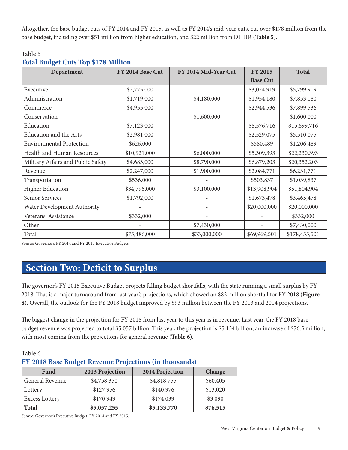Altogether, the base budget cuts of FY 2014 and FY 2015, as well as FY 2014's mid-year cuts, cut over \$178 million from the base budget, including over \$51 million from higher education, and \$22 million from DHHR (**Table 5**).

### Table 5

# **Total Budget Cuts Top \$178 Million**

| Department                         | FY 2014 Base Cut | FY 2014 Mid-Year Cut | <b>FY 2015</b>  | <b>Total</b>  |
|------------------------------------|------------------|----------------------|-----------------|---------------|
|                                    |                  |                      | <b>Base Cut</b> |               |
| Executive                          | \$2,775,000      |                      | \$3,024,919     | \$5,799,919   |
| Administration                     | \$1,719,000      | \$4,180,000          | \$1,954,180     | \$7,853,180   |
| Commerce                           | \$4,955,000      |                      | \$2,944,536     | \$7,899,536   |
| Conservation                       |                  | \$1,600,000          |                 | \$1,600,000   |
| Education                          | \$7,123,000      |                      | \$8,576,716     | \$15,699,716  |
| Education and the Arts             | \$2,981,000      |                      | \$2,529,075     | \$5,510,075   |
| <b>Environmental Protection</b>    | \$626,000        |                      | \$580,489       | \$1,206,489   |
| Health and Human Resources         | \$10,921,000     | \$6,000,000          | \$5,309,393     | \$22,230,393  |
| Military Affairs and Public Safety | \$4,683,000      | \$8,790,000          | \$6,879,203     | \$20,352,203  |
| Revenue                            | \$2,247,000      | \$1,900,000          | \$2,084,771     | \$6,231,771   |
| Transportation                     | \$536,000        |                      | \$503,837       | \$1,039,837   |
| <b>Higher Education</b>            | \$34,796,000     | \$3,100,000          | \$13,908,904    | \$51,804,904  |
| Senior Services                    | \$1,792,000      |                      | \$1,673,478     | \$3,465,478   |
| Water Development Authority        |                  |                      | \$20,000,000    | \$20,000,000  |
| Veterans' Assistance               | \$332,000        |                      |                 | \$332,000     |
| Other                              |                  | \$7,430,000          |                 | \$7,430,000   |
| Total                              | \$75,486,000     | \$33,000,000         | \$69,969,501    | \$178,455,501 |

*Source*: Governor's FY 2014 and FY 2015 Executive Budgets.

# **Section Two: Deficit to Surplus**

The governor's FY 2015 Executive Budget projects falling budget shortfalls, with the state running a small surplus by FY 2018. That is a major turnaround from last year's projections, which showed an \$82 million shortfall for FY 2018 (**Figure 8**). Overall, the outlook for the FY 2018 budget improved by \$93 million between the FY 2013 and 2014 projections.

The biggest change in the projection for FY 2018 from last year to this year is in revenue. Last year, the FY 2018 base budget revenue was projected to total \$5.057 billion. This year, the projection is \$5.134 billion, an increase of \$76.5 million, with most coming from the projections for general revenue (**Table 6**).

# Table 6 **FY 2018 Base Budget Revenue Projections (in thousands)**

| Fund            | 2013 Projection | 2014 Projection | Change   |
|-----------------|-----------------|-----------------|----------|
| General Revenue | \$4,758,350     | \$4,818,755     | \$60,405 |
| Lottery         | \$127,956       | \$140,976       | \$13,020 |
| Excess Lottery  | \$170,949       | \$174,039       | \$3,090  |
| <b>Total</b>    | \$5,057,255     | \$5,133,770     | \$76,515 |

*Source*: Governor's Executive Budget, FY 2014 and FY 2015.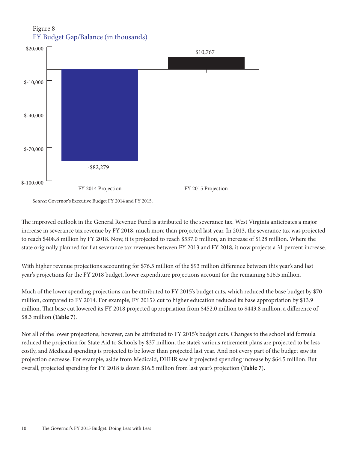## Figure 8 FY Budget Gap/Balance (in thousands)



The improved outlook in the General Revenue Fund is attributed to the severance tax. West Virginia anticipates a major increase in severance tax revenue by FY 2018, much more than projected last year. In 2013, the severance tax was projected to reach \$408.8 million by FY 2018. Now, it is projected to reach \$537.0 million, an increase of \$128 million. Where the state originally planned for flat severance tax revenues between FY 2013 and FY 2018, it now projects a 31 percent increase.

With higher revenue projections accounting for \$76.5 million of the \$93 million difference between this year's and last year's projections for the FY 2018 budget, lower expenditure projections account for the remaining \$16.5 million.

Much of the lower spending projections can be attributed to FY 2015's budget cuts, which reduced the base budget by \$70 million, compared to FY 2014. For example, FY 2015's cut to higher education reduced its base appropriation by \$13.9 million. That base cut lowered its FY 2018 projected appropriation from \$452.0 million to \$443.8 million, a difference of \$8.3 million (**Table 7**).

Not all of the lower projections, however, can be attributed to FY 2015's budget cuts. Changes to the school aid formula reduced the projection for State Aid to Schools by \$37 million, the state's various retirement plans are projected to be less costly, and Medicaid spending is projected to be lower than projected last year. And not every part of the budget saw its projection decrease. For example, aside from Medicaid, DHHR saw it projected spending increase by \$64.5 million. But overall, projected spending for FY 2018 is down \$16.5 million from last year's projection (**Table 7**).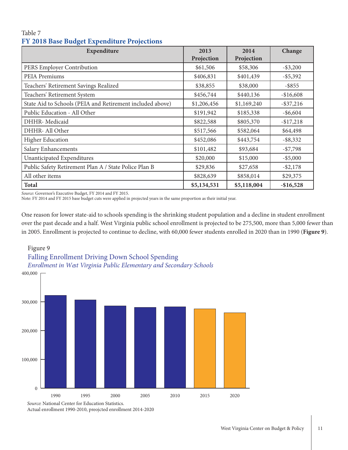| Table 7 |                                             |  |
|---------|---------------------------------------------|--|
|         | FY 2018 Base Budget Expenditure Projections |  |

| Expenditure                                               | 2013<br>Projection | 2014<br>Projection | Change       |
|-----------------------------------------------------------|--------------------|--------------------|--------------|
| PERS Employer Contribution                                | \$61,506           | \$58,306           | $-$ \$3,200  |
| PEIA Premiums                                             | \$406,831          | \$401,439          | $-$ \$5,392  |
| Teachers' Retirement Savings Realized                     | \$38,855           | \$38,000           | $-$ \$855    |
| Teachers' Retirement System                               | \$456,744          | \$440,136          | $-$16,608$   |
| State Aid to Schools (PEIA and Retirement included above) | \$1,206,456        | \$1,169,240        | $-$ \$37,216 |
| Public Education - All Other                              | \$191,942          | \$185,338          | $-$ \$6,604  |
| DHHR- Medicaid                                            | \$822,588          | \$805,370          | $-$17,218$   |
| DHHR- All Other                                           | \$517,566          | \$582,064          | \$64,498     |
| <b>Higher Education</b>                                   | \$452,086          | \$443,754          | $-$ \$8,332  |
| Salary Enhancements                                       | \$101,482          | \$93,684           | $- $7,798$   |
| Unanticipated Expenditures                                | \$20,000           | \$15,000           | $-$ \$5,000  |
| Public Safety Retirement Plan A / State Police Plan B     | \$29,836           | \$27,658           | $- $2,178$   |
| All other items                                           | \$828,639          | \$858,014          | \$29,375     |
| <b>Total</b>                                              | \$5,134,531        | \$5,118,004        | $-$16,528$   |

*Source*: Governor's Executive Budget, FY 2014 and FY 2015.

Note: FY 2014 and FY 2015 base budget cuts were applied in projected years in the same proportion as their initial year.

One reason for lower state-aid to schools spending is the shrinking student population and a decline in student enrollment over the past decade and a half. West Virginia public school enrollment is projected to be 275,500, more than 5,000 fewer than in 2005. Enrollment is projected to continue to decline, with 60,000 fewer students enrolled in 2020 than in 1990 (**Figure 9**).

# Figure 9 Falling Enrollment Driving Down School Spending *Enrollment in West Virginia Public Elementary and Secondary Schools*



Actual enrollment 1990-2010, preojcted enrollment 2014-2020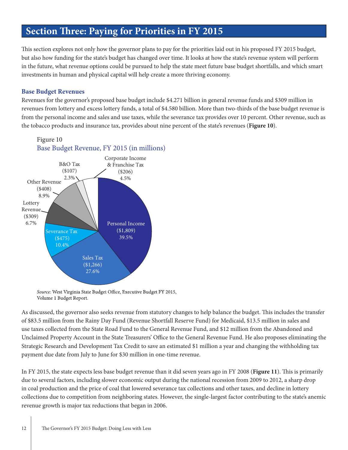# **Section Three: Paying for Priorities in FY 2015**

This section explores not only how the governor plans to pay for the priorities laid out in his proposed FY 2015 budget, but also how funding for the state's budget has changed over time. It looks at how the state's revenue system will perform in the future, what revenue options could be pursued to help the state meet future base budget shortfalls, and which smart investments in human and physical capital will help create a more thriving economy.

### **Base Budget Revenues**

Revenues for the governor's proposed base budget include \$4.271 billion in general revenue funds and \$309 million in revenues from lottery and excess lottery funds, a total of \$4.580 billion. More than two-thirds of the base budget revenue is from the personal income and sales and use taxes, while the severance tax provides over 10 percent. Other revenue, such as the tobacco products and insurance tax, provides about nine percent of the state's revenues (**Figure 10**).



# Base Budget Revenue, FY 2015 (in millions)

Source: West Virginia State Budget Office, Executive Budget FY 2015, Volume 1 Budget Report.

As discussed, the governor also seeks revenue from statutory changes to help balance the budget. This includes the transfer of \$83.5 million from the Rainy Day Fund (Revenue Shortfall Reserve Fund) for Medicaid, \$13.5 million in sales and use taxes collected from the State Road Fund to the General Revenue Fund, and \$12 million from the Abandoned and Unclaimed Property Account in the State Treasurers' Office to the General Revenue Fund. He also proposes eliminating the Strategic Research and Development Tax Credit to save an estimated \$1 million a year and changing the withholding tax payment due date from July to June for \$30 million in one-time revenue.

In FY 2015, the state expects less base budget revenue than it did seven years ago in FY 2008 (**Figure 11**). This is primarily due to several factors, including slower economic output during the national recession from 2009 to 2012, a sharp drop in coal production and the price of coal that lowered severance tax collections and other taxes, and decline in lottery collections due to competition from neighboring states. However, the single-largest factor contributing to the state's anemic revenue growth is major tax reductions that began in 2006.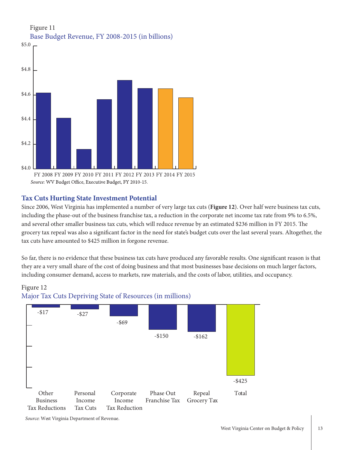

### Figure 11 Base Budget Revenue, FY 2008-2015 (in billions)

### **Tax Cuts Hurting State Investment Potential**

Since 2006, West Virginia has implemented a number of very large tax cuts (**Figure 12**). Over half were business tax cuts, including the phase-out of the business franchise tax, a reduction in the corporate net income tax rate from 9% to 6.5%, and several other smaller business tax cuts, which will reduce revenue by an estimated \$236 million in FY 2015. The grocery tax repeal was also a significant factor in the need for state's budget cuts over the last several years. Altogether, the tax cuts have amounted to \$425 million in forgone revenue.

So far, there is no evidence that these business tax cuts have produced any favorable results. One significant reason is that they are a very small share of the cost of doing business and that most businesses base decisions on much larger factors, including consumer demand, access to markets, raw materials, and the costs of labor, utilities, and occupancy.





*Source*: West Virginia Department of Revenue.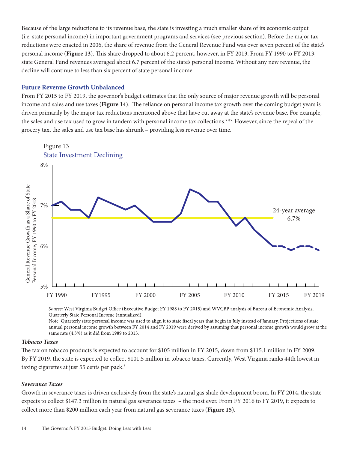Because of the large reductions to its revenue base, the state is investing a much smaller share of its economic output (i.e. state personal income) in important government programs and services (see previous section). Before the major tax reductions were enacted in 2006, the share of revenue from the General Revenue Fund was over seven percent of the state's personal income (**Figure 13**). This share dropped to about 6.2 percent, however, in FY 2013. From FY 1990 to FY 2013, state General Fund revenues averaged about 6.7 percent of the state's personal income. Without any new revenue, the decline will continue to less than six percent of state personal income.

#### **Future Revenue Growth Unbalanced**

From FY 2015 to FY 2019, the governor's budget estimates that the only source of major revenue growth will be personal income and sales and use taxes (**Figure 14**). The reliance on personal income tax growth over the coming budget years is driven primarily by the major tax reductions mentioned above that have cut away at the state's revenue base. For example, the sales and use tax used to grow in tandem with personal income tax collections.\*\*\* However, since the repeal of the grocery tax, the sales and use tax base has shrunk – providing less revenue over time.



Source: West Virginia Budget Office (Executive Budget FY 1988 to FY 2015) and WVCBP analysis of Bureau of Economic Analysis, Quarterly State Personal Income (annualized).

Note: Quarterly state personal income was used to align it to state fiscal years that begin in July instead of January. Projections of state annual personal income growth between FY 2014 and FY 2019 were derived by assuming that personal income growth would grow at the same rate (4.3%) as it did from 1989 to 2013.

#### *Tobacco Taxes*

The tax on tobacco products is expected to account for \$105 million in FY 2015, down from \$115.1 million in FY 2009. By FY 2019, the state is expected to collect \$101.5 million in tobacco taxes. Currently, West Virginia ranks 44th lowest in taxing cigarettes at just 55 cents per pack.<sup>5</sup>

#### *Severance Taxes*

Growth in severance taxes is driven exclusively from the state's natural gas shale development boom. In FY 2014, the state expects to collect \$147.3 million in natural gas severance taxes – the most ever. From FY 2016 to FY 2019, it expects to collect more than \$200 million each year from natural gas severance taxes (**Figure 15**).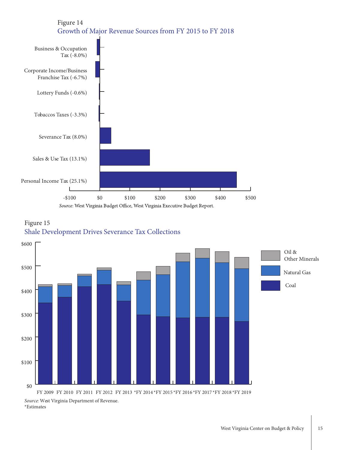

# Figure 15 Shale Development Drives Severance Tax Collections



\*Estimates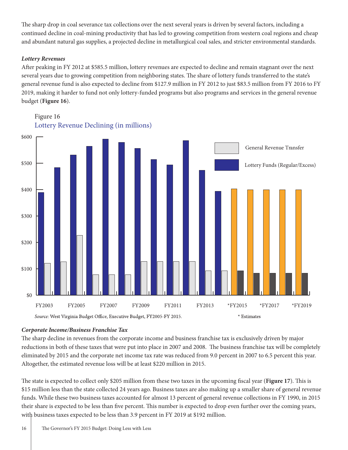The sharp drop in coal severance tax collections over the next several years is driven by several factors, including a continued decline in coal-mining productivity that has led to growing competition from western coal regions and cheap and abundant natural gas supplies, a projected decline in metallurgical coal sales, and stricter environmental standards.

### *Lottery Revenues*

After peaking in FY 2012 at \$585.5 million, lottery revenues are expected to decline and remain stagnant over the next several years due to growing competition from neighboring states. The share of lottery funds transferred to the state's general revenue fund is also expected to decline from \$127.9 million in FY 2012 to just \$83.5 million from FY 2016 to FY 2019, making it harder to fund not only lottery-funded programs but also programs and services in the general revenue budget (**Figure 16**).

Figure 16 Lottery Revenue Declining (in millions)



### *Corporate Income/Business Franchise Tax*

The sharp decline in revenues from the corporate income and business franchise tax is exclusively driven by major reductions in both of these taxes that were put into place in 2007 and 2008. The business franchise tax will be completely eliminated by 2015 and the corporate net income tax rate was reduced from 9.0 percent in 2007 to 6.5 percent this year. Altogether, the estimated revenue loss will be at least \$220 million in 2015.

The state is expected to collect only \$205 million from these two taxes in the upcoming fiscal year (**Figure 17**). This is \$15 million less than the state collected 24 years ago. Business taxes are also making up a smaller share of general revenue funds. While these two business taxes accounted for almost 13 percent of general revenue collections in FY 1990, in 2015 their share is expected to be less than five percent. This number is expected to drop even further over the coming years, with business taxes expected to be less than 3.9 percent in FY 2019 at \$192 million.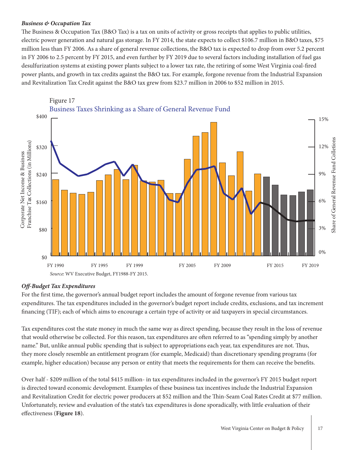#### *Business & Occupation Tax*

The Business & Occupation Tax (B&O Tax) is a tax on units of activity or gross receipts that applies to public utilities, electric power generation and natural gas storage. In FY 2014, the state expects to collect \$106.7 million in B&O taxes, \$75 million less than FY 2006. As a share of general revenue collections, the B&O tax is expected to drop from over 5.2 percent in FY 2006 to 2.5 percent by FY 2015, and even further by FY 2019 due to several factors including installation of fuel gas desulfurization systems at existing power plants subject to a lower tax rate, the retiring of some West Virginia coal-fired power plants, and growth in tax credits against the B&O tax. For example, forgone revenue from the Industrial Expansion and Revitalization Tax Credit against the B&O tax grew from \$23.7 million in 2006 to \$52 million in 2015.



### *Off-Budget Tax Expenditures*

For the first time, the governor's annual budget report includes the amount of forgone revenue from various tax expenditures. The tax expenditures included in the governor's budget report include credits, exclusions, and tax increment financing (TIF); each of which aims to encourage a certain type of activity or aid taxpayers in special circumstances.

Tax expenditures cost the state money in much the same way as direct spending, because they result in the loss of revenue that would otherwise be collected. For this reason, tax expenditures are often referred to as "spending simply by another name." But, unlike annual public spending that is subject to appropriations each year, tax expenditures are not. Thus, they more closely resemble an entitlement program (for example, Medicaid) than discretionary spending programs (for example, higher education) because any person or entity that meets the requirements for them can receive the benefits.

Over half - \$209 million of the total \$415 million- in tax expenditures included in the governor's FY 2015 budget report is directed toward economic development. Examples of these business tax incentives include the Industrial Expansion and Revitalization Credit for electric power producers at \$52 million and the Thin-Seam Coal Rates Credit at \$77 million. Unfortunately, review and evaluation of the state's tax expenditures is done sporadically, with little evaluation of their effectiveness (**Figure 18**).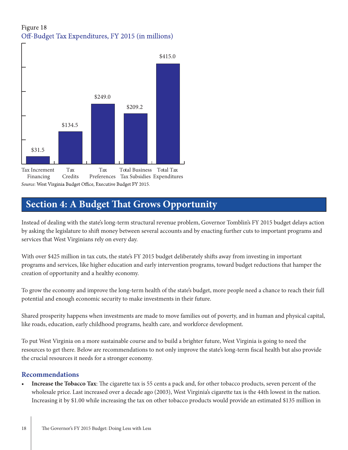# Figure 18 Off-Budget Tax Expenditures, FY 2015 (in millions)



# **Section 4: A Budget That Grows Opportunity**

Instead of dealing with the state's long-term structural revenue problem, Governor Tomblin's FY 2015 budget delays action by asking the legislature to shift money between several accounts and by enacting further cuts to important programs and services that West Virginians rely on every day.

With over \$425 million in tax cuts, the state's FY 2015 budget deliberately shifts away from investing in important programs and services, like higher education and early intervention programs, toward budget reductions that hamper the creation of opportunity and a healthy economy.

To grow the economy and improve the long-term health of the state's budget, more people need a chance to reach their full potential and enough economic security to make investments in their future.

Shared prosperity happens when investments are made to move families out of poverty, and in human and physical capital, like roads, education, early childhood programs, health care, and workforce development.

To put West Virginia on a more sustainable course and to build a brighter future, West Virginia is going to need the resources to get there. Below are recommendations to not only improve the state's long-term fiscal health but also provide the crucial resources it needs for a stronger economy.

### **Recommendations**

**Increase the <b>Tobacco** Tax: The cigarette tax is 55 cents a pack and, for other tobacco products, seven percent of the wholesale price. Last increased over a decade ago (2003), West Virginia's cigarette tax is the 44th lowest in the nation. Increasing it by \$1.00 while increasing the tax on other tobacco products would provide an estimated \$135 million in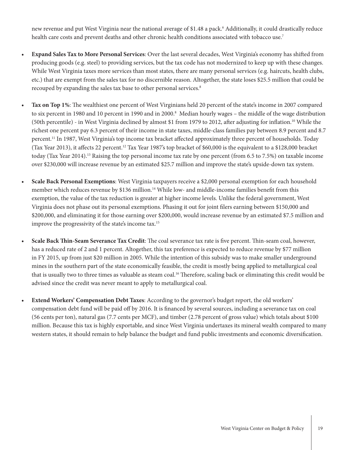new revenue and put West Virginia near the national average of \$1.48 a pack.<sup>6</sup> Additionally, it could drastically reduce health care costs and prevent deaths and other chronic health conditions associated with tobacco use.<sup>7</sup>

- **• Expand Sales Tax to More Personal Services**: Over the last several decades, West Virginia's economy has shifted from producing goods (e.g. steel) to providing services, but the tax code has not modernized to keep up with these changes. While West Virginia taxes more services than most states, there are many personal services (e.g. haircuts, health clubs, etc.) that are exempt from the sales tax for no discernible reason. Altogether, the state loses \$25.5 million that could be recouped by expanding the sales tax base to other personal services.<sup>8</sup>
- **Tax on Top 1%:** The wealthiest one percent of West Virginians held 20 percent of the state's income in 2007 compared to six percent in 1980 and 10 percent in 1990 and in 2000.<sup>8</sup> Median hourly wages – the middle of the wage distribution (50th percentile) - in West Virginia declined by almost \$1 from 1979 to 2012, after adjusting for inflation.10 While the richest one percent pay 6.3 percent of their income in state taxes, middle-class families pay between 8.9 percent and 8.7 percent.<sup>11</sup> In 1987, West Virginia's top income tax bracket affected approximately three percent of households. Today (Tax Year 2013), it affects 22 percent.<sup>12</sup> Tax Year 1987's top bracket of \$60,000 is the equivalent to a \$128,000 bracket today (Tax Year 2014).<sup>13</sup> Raising the top personal income tax rate by one percent (from 6.5 to 7.5%) on taxable income over \$230,000 will increase revenue by an estimated \$25.7 million and improve the state's upside-down tax system.
- **Scale Back Personal Exemptions:** West Virginia taxpayers receive a \$2,000 personal exemption for each household member which reduces revenue by \$136 million.<sup>14</sup> While low- and middle-income families benefit from this exemption, the value of the tax reduction is greater at higher income levels. Unlike the federal government, West Virginia does not phase out its personal exemptions. Phasing it out for joint filers earning between \$150,000 and \$200,000, and eliminating it for those earning over \$200,000, would increase revenue by an estimated \$7.5 million and improve the progressivity of the state's income tax.15
- **• Scale Back Thin-Seam Severance Tax Credit**: The coal severance tax rate is five percent. Thin-seam coal, however, has a reduced rate of 2 and 1 percent. Altogether, this tax preference is expected to reduce revenue by \$77 million in FY 2015, up from just \$20 million in 2005. While the intention of this subsidy was to make smaller underground mines in the southern part of the state economically feasible, the credit is mostly being applied to metallurgical coal that is usually two to three times as valuable as steam coal.<sup>16</sup> Therefore, scaling back or eliminating this credit would be advised since the credit was never meant to apply to metallurgical coal.
- **Extend Workers' Compensation Debt Taxes:** According to the governor's budget report, the old workers' compensation debt fund will be paid off by 2016. It is financed by several sources, including a severance tax on coal (56 cents per ton), natural gas (7.7 cents per MCF), and timber (2.78 percent of gross value) which totals about \$100 million. Because this tax is highly exportable, and since West Virginia undertaxes its mineral wealth compared to many western states, it should remain to help balance the budget and fund public investments and economic diversification.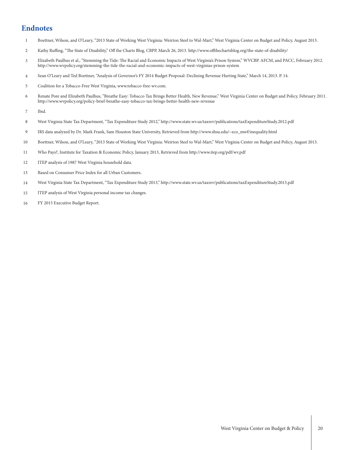# **Endnotes**

- Boettner, Wilson, and O'Leary, "2013 State of Working West Virginia: Weirton Steel to Wal-Mart," West Virginia Center on Budget and Policy, August 2013. 1
- Kathy Ruffing, "The State of Disability," Off the Charts Blog, CBPP, March 26, 2013. http://www.offthechartsblog.org/the-state-of-disability/ 2
- Elizabeth Paulhus et al., "Stemming the Tide: The Racial and Economic Impacts of West Virginia's Prison System," WVCBP. AFCM, and PACC, February 2012. http://www.wvpolicy.org/stemming-the-tide-the-racial-and-economic-impacts-of-west-virginias-prison-system 3
- Sean O'Leary and Ted Boettner, "Analysis of Governor's FY 2014 Budget Proposal: Declining Revenue Hurting State," March 14, 2013. P. 14. 4
- Coalition for a Tobacco-Free West Virginia, www.tobacco-free-wv.com. 5
- Renate Pore and Elizabeth Paulhus, "Breathe Easy: Tobacco Tax Brings Better Health, New Revenue," West Virginia Center on Budget and Policy, February 2011. http://www.wvpolicy.org/policy-brief-breathe-easy-tobacco-tax-brings-better-health-new-revenue 6
- Ibid. 7
- West Virginia State Tax Department, "Tax Expenditure Study 2012," http://www.state.wv.us/taxrev/publications/taxExpenditureStudy.2012.pdf 8
- IRS data analyzed by Dr. Mark Frank, Sam Houston State University, Retrieved from http://www.shsu.edu/~eco\_mwf/inequality.html 9
- Boettner, Wilson, and O'Leary, "2013 State of Working West Virginia: Weirton Steel to Wal-Mart," West Virginia Center on Budget and Policy, August 2013. 10
- Who Pays?, Institute for Taxation & Economic Policy, January 2013, Retrieved from http://www.itep.org/pdf/wv.pdf 11
- ITEP analysis of 1987 West Virginia household data. 12
- Based on Consumer Price Index for all Urban Customers. 13
- West Virginia State Tax Department, "Tax Expenditure Study 2013," http://www.state.wv.us/taxrev/publications/taxExpenditureStudy.2013.pdf 14
- ITEP analysis of West Virginia personal income tax changes. 15
- FY 2015 Executive Budget Report. 16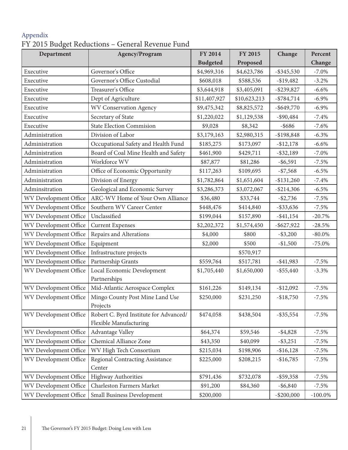# Appendix FY 2015 Budget Reductions – General Revenue Fund

| Department            | Agency/Program                                                   | <b>FY 2014</b>  | <b>FY 2015</b> | Change        | Percent    |
|-----------------------|------------------------------------------------------------------|-----------------|----------------|---------------|------------|
|                       |                                                                  | <b>Budgeted</b> | Proposed       |               | Change     |
| Executive             | Governor's Office                                                | \$4,969,316     | \$4,623,786    | $-$ \$345,530 | $-7.0\%$   |
| Executive             | Governor's Office Custodial                                      | \$608,018       | \$588,536      | $-$19,482$    | $-3.2%$    |
| Executive             | Treasurer's Office                                               | \$3,644,918     | \$3,405,091    | $-$ \$239,827 | $-6.6%$    |
| Executive             | Dept of Agriculture                                              | \$11,407,927    | \$10,623,213   | $-$ \$784,714 | $-6.9\%$   |
| Executive             | <b>WV Conservation Agency</b>                                    | \$9,475,342     | \$8,825,572    | $-$ \$649,770 | $-6.9\%$   |
| Executive             | Secretary of State                                               | \$1,220,022     | \$1,129,538    | $-$ \$90,484  | $-7.4%$    |
| Executive             | <b>State Election Commision</b>                                  | \$9,028         | \$8,342        | $-$ \$686     | $-7.6%$    |
| Administration        | Division of Labor                                                | \$3,179,163     | \$2,980,315    | $-$198,848$   | $-6.3\%$   |
| Administration        | Occupational Safety and Health Fund                              | \$185,275       | \$173,097      | $-$12,178$    | $-6.6%$    |
| Administration        | Board of Coal Mine Health and Safety                             | \$461,900       | \$429,711      | $-$ \$32,189  | $-7.0\%$   |
| Administration        | Workforce WV                                                     | \$87,877        | \$81,286       | $-$ \$6,591   | $-7.5%$    |
| Administration        | Office of Economic Opportunity                                   | \$117,263       | \$109,695      | $- $7,568$    | $-6.5%$    |
| Administration        | Division of Energy                                               | \$1,782,864     | \$1,651,604    | $-$ \$131,260 | $-7.4%$    |
| Adminsitration        | Geological and Economic Survey                                   | \$3,286,373     | \$3,072,067    | $-$ \$214,306 | $-6.5\%$   |
| WV Development Office | ARC-WV Home of Your Own Alliance                                 | \$36,480        | \$33,744       | $-$ \$2,736   | $-7.5%$    |
| WV Development Office | Southern WV Career Center                                        | \$448,476       | \$414,840      | $-$ \$33,636  | $-7.5%$    |
| WV Development Office | Unclassified                                                     | \$199,044       | \$157,890      | $-$ \$41,154  | $-20.7%$   |
| WV Development Office | <b>Current Expenses</b>                                          | \$2,202,372     | \$1,574,450    | $-$ \$627,922 | $-28.5%$   |
| WV Development Office | Repairs and Alterations                                          | \$4,000         | \$800          | $-$ \$3,200   | $-80.0\%$  |
| WV Development Office | Equipment                                                        | \$2,000         | \$500          | $-$1,500$     | $-75.0%$   |
| WV Development Office | Infrastructure projects                                          |                 | \$570,917      |               |            |
| WV Development Office | Partnership Grants                                               | \$559,764       | \$517,781      | $-$ \$41,983  | $-7.5%$    |
| WV Development Office | Local Economic Development<br>Partnerships                       | \$1,705,440     | \$1,650,000    | $-$ \$55,440  | $-3.3%$    |
| WV Development Office | Mid-Atlantic Aerospace Complex                                   | \$161,226       | \$149,134      | $-$12,092$    | $-7.5%$    |
| WV Development Office | Mingo County Post Mine Land Use<br>Projects                      | \$250,000       | \$231,250      | $-$18,750$    | $-7.5%$    |
| WV Development Office | Robert C. Byrd Institute for Advanced/<br>Flexible Manufacturing | \$474,058       | \$438,504      | $-$ \$35,554  | $-7.5%$    |
| WV Development Office | Advantage Valley                                                 | \$64,374        | \$59,546       | $-$ \$4,828   | $-7.5%$    |
| WV Development Office | Chemical Alliance Zone                                           | \$43,350        | \$40,099       | $-$ \$3,251   | $-7.5%$    |
| WV Development Office | WV High Tech Consortium                                          | \$215,034       | \$198,906      | $-$16,128$    | $-7.5%$    |
| WV Development Office | <b>Regional Contracting Assistance</b><br>Center                 | \$225,000       | \$208,215      | $-$16,785$    | $-7.5%$    |
| WV Development Office | Highway Authorities                                              | \$791,436       | \$732,078      | $-$ \$59,358  | $-7.5%$    |
| WV Development Office | Charleston Farmers Market                                        | \$91,200        | \$84,360       | $-$ \$6,840   | $-7.5%$    |
| WV Development Office | Small Business Development                                       | \$200,000       |                | $-$ \$200,000 | $-100.0\%$ |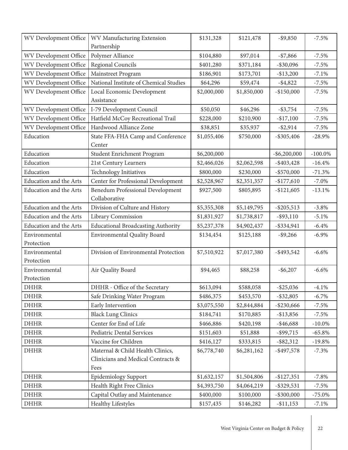| WV Development Office  | WV Manufacturing Extension                | \$131,328   | \$121,478   | $-$ \$9,850     | $-7.5%$    |
|------------------------|-------------------------------------------|-------------|-------------|-----------------|------------|
|                        | Partnership                               |             |             |                 |            |
| WV Development Office  | Polymer Alliance                          | \$104,880   | \$97,014    | $- $7,866$      | $-7.5%$    |
| WV Development Office  | Regional Councils                         | \$401,280   | \$371,184   | $-$ \$30,096    | $-7.5%$    |
| WV Development Office  | Mainstreet Program                        | \$186,901   | \$173,701   | $-$ \$13,200    | $-7.1%$    |
| WV Development Office  | National Institute of Chemical Studies    | \$64,296    | \$59,474    | $-$ \$4,822     | $-7.5%$    |
| WV Development Office  | Local Economic Development                | \$2,000,000 | \$1,850,000 | $-$150,000$     | $-7.5%$    |
|                        | Assistance                                |             |             |                 |            |
| WV Development Office  | I-79 Development Council                  | \$50,050    | \$46,296    | $-$ \$3,754     | $-7.5%$    |
| WV Development Office  | Hatfield McCoy Recreational Trail         | \$228,000   | \$210,900   | $-$17,100$      | $-7.5%$    |
| WV Development Office  | Hardwood Alliance Zone                    | \$38,851    | \$35,937    | $-$ \$2,914     | $-7.5%$    |
| Education              | State FFA-FHA Camp and Conference         | \$1,055,406 | \$750,000   | $-$ \$305,406   | $-28.9%$   |
|                        | Center                                    |             |             |                 |            |
| Education              | Student Enrichment Program                | \$6,200,000 |             | $-$ \$6,200,000 | $-100.0\%$ |
| Education              | 21st Century Learners                     | \$2,466,026 | \$2,062,598 | $-$ \$403,428   | $-16.4%$   |
| Education              | Technology Initiatives                    | \$800,000   | \$230,000   | $-$ \$570,000   | $-71.3%$   |
| Education and the Arts | Center for Professional Development       | \$2,528,967 | \$2,351,357 | $-$177,610$     | $-7.0\%$   |
| Education and the Arts | <b>Benedum Professional Development</b>   | \$927,500   | \$805,895   | $-$121,605$     | $-13.1%$   |
|                        | Collaborative                             |             |             |                 |            |
| Education and the Arts | Division of Culture and History           | \$5,355,308 | \$5,149,795 | $-$ \$205,513   | $-3.8%$    |
| Education and the Arts | Library Commission                        | \$1,831,927 | \$1,738,817 | $-$ \$93,110    | $-5.1%$    |
| Education and the Arts | <b>Educational Broadcasting Authority</b> | \$5,237,378 | \$4,902,437 | $-$ \$334,941   | $-6.4%$    |
| Environmental          | <b>Environmental Quality Board</b>        | \$134,454   | \$125,188   | $-$ \$9,266     | $-6.9\%$   |
| Protection             |                                           |             |             |                 |            |
| Environmental          | Division of Environmental Protection      | \$7,510,922 | \$7,017,380 | $-$ \$493,542   | $-6.6%$    |
| Protection             |                                           |             |             |                 |            |
| Environmental          | Air Quality Board                         | \$94,465    | \$88,258    | $-$ \$6,207     | $-6.6%$    |
| Protection             |                                           |             |             |                 |            |
| <b>DHHR</b>            | DHHR - Office of the Secretary            | \$613,094   | \$588,058   | $-$ \$25,036    | $-4.1%$    |
| <b>DHHR</b>            | Safe Drinking Water Program               | \$486,375   | \$453,570   | $-$ \$32,805    | $-6.7\%$   |
| <b>DHHR</b>            | Early Intervention                        | \$3,075,550 | \$2,844,884 | $-$ \$230,666   | $-7.5%$    |
| <b>DHHR</b>            | <b>Black Lung Clinics</b>                 | \$184,741   | \$170,885   | $-$ \$13,856    | $-7.5%$    |
| <b>DHHR</b>            | Center for End of Life                    | \$466,886   | \$420,198   | $-$ \$46,688    | $-10.0\%$  |
| <b>DHHR</b>            | Pediatric Dental Services                 | \$151,603   | \$51,888    | $-$ \$99,715    | $-65.8%$   |
| <b>DHHR</b>            | Vaccine for Children                      | \$416,127   | \$333,815   | $-$ \$82,312    | $-19.8%$   |
| <b>DHHR</b>            | Maternal & Child Health Clinics,          | \$6,778,740 | \$6,281,162 | $-$ \$497,578   | $-7.3%$    |
|                        | Clinicians and Medical Contracts &        |             |             |                 |            |
|                        | Fees                                      |             |             |                 |            |
| <b>DHHR</b>            | <b>Epidemiology Support</b>               | \$1,632,157 | \$1,504,806 | $-$ \$127,351   | $-7.8%$    |
| <b>DHHR</b>            | Health Right Free Clinics                 | \$4,393,750 | \$4,064,219 | $-$ \$329,531   | $-7.5%$    |
| <b>DHHR</b>            | Capital Outlay and Maintenance            | \$400,000   | \$100,000   | $-$ \$300,000   | $-75.0\%$  |
| <b>DHHR</b>            | <b>Healthy Lifestyles</b>                 | \$157,435   | \$146,282   | $-$ \$11,153    | $-7.1\%$   |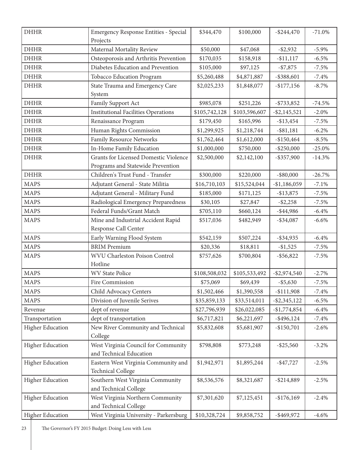| <b>DHHR</b>             | Emergency Response Entities - Special<br>Projects               | \$344,470     | \$100,000     | $-$ \$244,470   | $-71.0%$  |
|-------------------------|-----------------------------------------------------------------|---------------|---------------|-----------------|-----------|
| <b>DHHR</b>             | Maternal Mortality Review                                       | \$50,000      | \$47,068      | $-$ \$2,932     | $-5.9\%$  |
| <b>DHHR</b>             | Osteoporosis and Arthritis Prevention                           | \$170,035     | \$158,918     | $-$11,117$      | $-6.5%$   |
| <b>DHHR</b>             | Diabetes Education and Prevention                               | \$105,000     | \$97,125      | $- $7,875$      | $-7.5%$   |
| <b>DHHR</b>             | <b>Tobacco Education Program</b>                                | \$5,260,488   | \$4,871,887   | $-$ \$388,601   | $-7.4%$   |
| <b>DHHR</b>             | State Trauma and Emergency Care                                 | \$2,025,233   | \$1,848,077   | $-$177,156$     | $-8.7\%$  |
|                         | System                                                          |               |               |                 |           |
| <b>DHHR</b>             | Family Support Act                                              | \$985,078     | \$251,226     | $-$ \$733,852   | $-74.5%$  |
| <b>DHHR</b>             | <b>Institutional Facilities Operations</b>                      | \$105,742,128 | \$103,596,607 | $-$ \$2,145,521 | $-2.0%$   |
| <b>DHHR</b>             | Renaissance Program                                             | \$179,450     | \$165,996     | $-$ \$13,454    | $-7.5%$   |
| <b>DHHR</b>             | Human Rights Commission                                         | \$1,299,925   | \$1,218,744   | $-$ \$81,181    | $-6.2%$   |
| <b>DHHR</b>             | <b>Family Resource Networks</b>                                 | \$1,762,464   | \$1,612,000   | $-$150,464$     | $-8.5%$   |
| <b>DHHR</b>             | In-Home Family Education                                        | \$1,000,000   | \$750,000     | $-$ \$250,000   | $-25.0\%$ |
| <b>DHHR</b>             | <b>Grants for Licensed Domestic Violence</b>                    | \$2,500,000   | \$2,142,100   | $-$ \$357,900   | $-14.3%$  |
|                         | Programs and Statewide Prevention                               |               |               |                 |           |
| <b>DHHR</b>             | Children's Trust Fund - Transfer                                | \$300,000     | \$220,000     | $-$ \$80,000    | $-26.7%$  |
| <b>MAPS</b>             | Adjutant General - State Militia                                | \$16,710,103  | \$15,524,044  | $-$1,186,059$   | $-7.1%$   |
| <b>MAPS</b>             | Adjutant General - Military Fund                                | \$185,000     | \$171,125     | $-$ \$13,875    | $-7.5%$   |
| <b>MAPS</b>             | Radiological Emergency Preparedness                             | \$30,105      | \$27,847      | $-$ \$2,258     | $-7.5%$   |
| <b>MAPS</b>             | Federal Funds/Grant Match                                       | \$705,110     | \$660,124     | $-$ \$44,986    | $-6.4%$   |
| <b>MAPS</b>             | Mine and Industrial Accident Rapid                              | \$517,036     | \$482,949     | $-$ \$34,087    | $-6.6%$   |
|                         | Response Call Center                                            |               |               |                 |           |
| <b>MAPS</b>             | Early Warning Flood System                                      | \$542,159     | \$507,224     | $-$ \$34,935    | $-6.4%$   |
| <b>MAPS</b>             | <b>BRIM</b> Premium                                             | \$20,336      | \$18,811      | $-$1,525$       | $-7.5%$   |
| <b>MAPS</b>             | WVU Charleston Poison Control                                   | \$757,626     | \$700,804     | $-$ \$56,822    | $-7.5%$   |
|                         | Hotline                                                         |               |               |                 |           |
| <b>MAPS</b>             | <b>WV State Police</b>                                          | \$108,508,032 | \$105,533,492 | $-$ \$2,974,540 | $-2.7%$   |
| <b>MAPS</b>             | Fire Commission                                                 | \$75,069      | \$69,439      | $-$ \$5,630     | $-7.5%$   |
| <b>MAPS</b>             | Child Advocacy Centers                                          | \$1,502,466   | \$1,390,558   | $- $111,908$    | $-7.4%$   |
| <b>MAPS</b>             | Division of Juvenile Serives                                    | \$35,859,133  | \$33,514,011  | $-$ \$2,345,122 | $-6.5%$   |
| Revenue                 | dept of revenue                                                 | \$27,796,939  | \$26,022,085  | $-$1,774,854$   | $-6.4%$   |
| Transportation          | dept of transportation                                          | \$6,717,821   | \$6,221,697   | $-$ \$496,124   | $-7.4%$   |
| <b>Higher Education</b> | New River Community and Technical<br>College                    | \$5,832,608   | \$5,681,907   | $-$150,701$     | $-2.6%$   |
| <b>Higher Education</b> | West Virginia Council for Community                             | \$798,808     | \$773,248     | $-$ \$25,560    | $-3.2%$   |
|                         | and Technical Education                                         |               |               |                 |           |
| <b>Higher Education</b> | Eastern West Virginia Community and<br><b>Technical College</b> | \$1,942,971   | \$1,895,244   | $-$ \$47,727    | $-2.5%$   |
| <b>Higher Education</b> | Southern West Virginia Community<br>and Technical College       | \$8,536,576   | \$8,321,687   | $-$ \$214,889   | $-2.5%$   |
| <b>Higher Education</b> | West Virginia Northern Community<br>and Technical College       | \$7,301,620   | \$7,125,451   | $-$ \$176,169   | $-2.4%$   |
| <b>Higher Education</b> | West Virginia University - Parkersburg                          | \$10,328,724  | \$9,858,752   | $-$ \$469,972   | $-4.6%$   |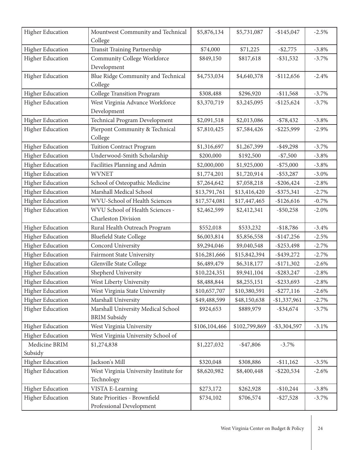| <b>Higher Education</b>  | Mountwest Community and Technical<br>College                  | \$5,876,134   | \$5,731,087   | $-$145,047$     | $-2.5%$  |
|--------------------------|---------------------------------------------------------------|---------------|---------------|-----------------|----------|
| <b>Higher Education</b>  | Transit Training Partnership                                  | \$74,000      | \$71,225      | $-$ \$2,775     | $-3.8%$  |
| <b>Higher Education</b>  | <b>Community College Workforce</b><br>Development             | \$849,150     | \$817,618     | $-$ \$31,532    | $-3.7\%$ |
| <b>Higher Education</b>  | Blue Ridge Community and Technical<br>College                 | \$4,753,034   | \$4,640,378   | $-$ \$112,656   | $-2.4%$  |
| <b>Higher Education</b>  | <b>College Transition Program</b>                             | \$308,488     | \$296,920     | $-$11,568$      | $-3.7%$  |
| <b>Higher Education</b>  | West Virginia Advance Workforce<br>Development                | \$3,370,719   | \$3,245,095   | $-$125,624$     | $-3.7%$  |
| Higher Education         | Technical Program Development                                 | \$2,091,518   | \$2,013,086   | $- $78,432$     | $-3.8%$  |
| <b>Higher Education</b>  | Pierpont Community & Technical<br>College                     | \$7,810,425   | \$7,584,426   | $-$ \$225,999   | $-2.9%$  |
| <b>Higher Education</b>  | <b>Tuition Contract Program</b>                               | \$1,316,697   | \$1,267,399   | $-$ \$49,298    | $-3.7%$  |
| <b>Higher Education</b>  | Underwood-Smith Scholarship                                   | \$200,000     | \$192,500     | $- $7,500$      | $-3.8\%$ |
| <b>Higher Education</b>  | Facilities Planning and Admin                                 | \$2,000,000   | \$1,925,000   | $- $75,000$     | $-3.8%$  |
| <b>Higher Education</b>  | <b>WVNET</b>                                                  | \$1,774,201   | \$1,720,914   | $-$ \$53,287    | $-3.0\%$ |
| <b>Higher Education</b>  | School of Osteopathic Medicine                                | \$7,264,642   | \$7,058,218   | $-$ \$206,424   | $-2.8%$  |
| <b>Higher Education</b>  | Marshall Medical School                                       | \$13,791,761  | \$13,416,420  | $-$ \$375,341   | $-2.7%$  |
| <b>Higher Education</b>  | WVU-School of Health Sciences                                 | \$17,574,081  | \$17,447,465  | $-$126,616$     | $-0.7\%$ |
| <b>Higher Education</b>  | WVU School of Health Sciences -<br><b>Charleston Division</b> | \$2,462,599   | \$2,412,341   | $-$ \$50,258    | $-2.0\%$ |
| <b>Higher Education</b>  | Rural Health Outreach Program                                 | \$552,018     | \$533,232     | $-$18,786$      | $-3.4%$  |
| <b>Higher Education</b>  | <b>Bluefield State College</b>                                | \$6,003,814   | \$5,856,558   | $-$147,256$     | $-2.5%$  |
| <b>Higher Education</b>  | Concord University                                            | \$9,294,046   | \$9,040,548   | $-$ \$253,498   | $-2.7%$  |
| <b>Higher Education</b>  | Fairmont State University                                     | \$16,281,666  | \$15,842,394  | $-$ \$439,272   | $-2.7%$  |
| <b>Higher Education</b>  | Glenville State College                                       | \$6,489,479   | \$6,318,177   | $-$171,302$     | $-2.6%$  |
| Higher Education         | Shepherd University                                           | \$10,224,351  | \$9,941,104   | $-$ \$283,247   | $-2.8%$  |
| <b>Higher Education</b>  | West Liberty University                                       | \$8,488,844   | \$8,255,151   | $-$ \$233,693   | $-2.8%$  |
| <b>Higher Education</b>  | West Virginia State University                                | \$10,657,707  | \$10,380,591  | $-$ \$277,116   | $-2.6%$  |
| <b>Higher Education</b>  | Marshall University                                           | \$49,488,599  | \$48,150,638  | $-$1,337,961$   | $-2.7%$  |
| <b>Higher Education</b>  | Marshall University Medical School<br><b>BRIM</b> Subsidy     | \$924,653     | \$889,979     | $-$ \$34,674    | $-3.7\%$ |
| <b>Higher Education</b>  | West Virginia University                                      | \$106,104,466 | \$102,799,869 | $-$ \$3,304,597 | $-3.1%$  |
| <b>Higher Education</b>  | West Virginia University School of                            |               |               |                 |          |
| Medicine BRIM<br>Subsidy | \$1,274,838                                                   | \$1,227,032   | $-$ \$47,806  | $-3.7\%$        |          |
| <b>Higher Education</b>  | Jackson's Mill                                                | \$320,048     | \$308,886     | $-$ \$11,162    | $-3.5%$  |
| <b>Higher Education</b>  | West Virginia University Institute for<br>Technology          | \$8,620,982   | \$8,400,448   | $-$ \$220,534   | $-2.6%$  |
| <b>Higher Education</b>  | VISTA E-Learning                                              | \$273,172     | \$262,928     | $-$10,244$      | $-3.8\%$ |
| <b>Higher Education</b>  | State Priorities - Brownfield<br>Professional Development     | \$734,102     | \$706,574     | $-$ \$27,528    | $-3.7\%$ |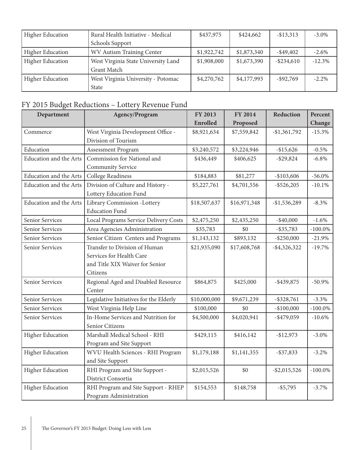| <b>Higher Education</b> | Rural Health Initiative - Medical   | \$437,975   | \$424,662   | $-$ \$13,313  | $-3.0\%$  |
|-------------------------|-------------------------------------|-------------|-------------|---------------|-----------|
|                         | Schools Support                     |             |             |               |           |
| <b>Higher Education</b> | WV Autism Training Center           | \$1,922,742 | \$1,873,340 | $-$ \$49,402  | $-2.6\%$  |
| <b>Higher Education</b> | West Virginia State University Land | \$1,908,000 | \$1,673,390 | $-$ \$234,610 | $-12.3\%$ |
|                         | Grant Match                         |             |             |               |           |
| <b>Higher Education</b> | West Virginia University - Potomac  | \$4,270,762 | \$4,177,993 | $-$ \$92,769  | $-2.2\%$  |
|                         | <b>State</b>                        |             |             |               |           |

# FY 2015 Budget Reductions – Lottery Revenue Fund

| Department                    | Agency/Program                          | FY 2013      | <b>FY 2014</b> | Reduction       | Percent    |
|-------------------------------|-----------------------------------------|--------------|----------------|-----------------|------------|
|                               |                                         | Enrolled     | Proposed       |                 | Change     |
| Commerce                      | West Virginia Development Office -      | \$8,921,634  | \$7,559,842    | $-$1,361,792$   | $-15.3%$   |
|                               | Division of Tourism                     |              |                |                 |            |
| Education                     | Assessment Program                      | \$3,240,572  | \$3,224,946    | $-$15,626$      | $-0.5%$    |
| <b>Education and the Arts</b> | Commission for National and             | \$436,449    | \$406,625      | $-$ \$29,824    | $-6.8\%$   |
|                               | <b>Community Service</b>                |              |                |                 |            |
| <b>Education and the Arts</b> | <b>College Readiness</b>                | \$184,883    | \$81,277       | $-$103,606$     | $-56.0\%$  |
| <b>Education and the Arts</b> | Division of Culture and History -       | \$5,227,761  | \$4,701,556    | $-$ \$526,205   | $-10.1%$   |
|                               | Lottery Education Fund                  |              |                |                 |            |
| <b>Education and the Arts</b> | Library Commission -Lottery             | \$18,507,637 | \$16,971,348   | $-$1,536,289$   | $-8.3%$    |
|                               | <b>Education Fund</b>                   |              |                |                 |            |
| Senior Services               | Local Programs Service Delivery Costs   | \$2,475,250  | \$2,435,250    | $-$ \$40,000    | $-1.6%$    |
| Senior Services               | Area Agencies Administration            | \$35,783     | \$0            | $-$ \$35,783    | $-100.0\%$ |
| Senior Services               | Senior Citizen Centers and Programs     | \$1,143,132  | \$893,132      | $-$ \$250,000   | $-21.9%$   |
| Senior Services               | Transfer to Division of Human           | \$21,935,090 | \$17,608,768   | $-$ \$4,326,322 | $-19.7%$   |
|                               | Services for Health Care                |              |                |                 |            |
|                               | and Title XIX Waiver for Senior         |              |                |                 |            |
|                               | Citizens                                |              |                |                 |            |
| Senior Services               | Regional Aged and Disabled Resource     | \$864,875    | \$425,000      | $-$ \$439,875   | $-50.9%$   |
|                               | Center                                  |              |                |                 |            |
| Senior Services               | Legislative Initiatives for the Elderly | \$10,000,000 | \$9,671,239    | $-$ \$328,761   | $-3.3%$    |
| Senior Services               | West Virginia Help Line                 | \$100,000    | \$0            | $-$100,000$     | $-100.0\%$ |
| Senior Services               | In-Home Services and Nutrition for      | \$4,500,000  | \$4,020,941    | $-$ \$479,059   | $-10.6%$   |
|                               | Senior Citizens                         |              |                |                 |            |
| <b>Higher Education</b>       | Marshall Medical School - RHI           | \$429,115    | \$416,142      | $-$12,973$      | $-3.0\%$   |
|                               | Program and Site Support                |              |                |                 |            |
| <b>Higher Education</b>       | WVU Health Sciences - RHI Program       | \$1,179,188  | \$1,141,355    | $-$ \$37,833    | $-3.2%$    |
|                               | and Site Support                        |              |                |                 |            |
| <b>Higher Education</b>       | RHI Program and Site Support -          | \$2,015,526  | \$0            | $-$ \$2,015,526 | $-100.0\%$ |
|                               | District Consortia                      |              |                |                 |            |
| <b>Higher Education</b>       | RHI Program and Site Support - RHEP     | \$154,553    | \$148,758      | $-$ \$5,795     | $-3.7%$    |
|                               | Program Administration                  |              |                |                 |            |